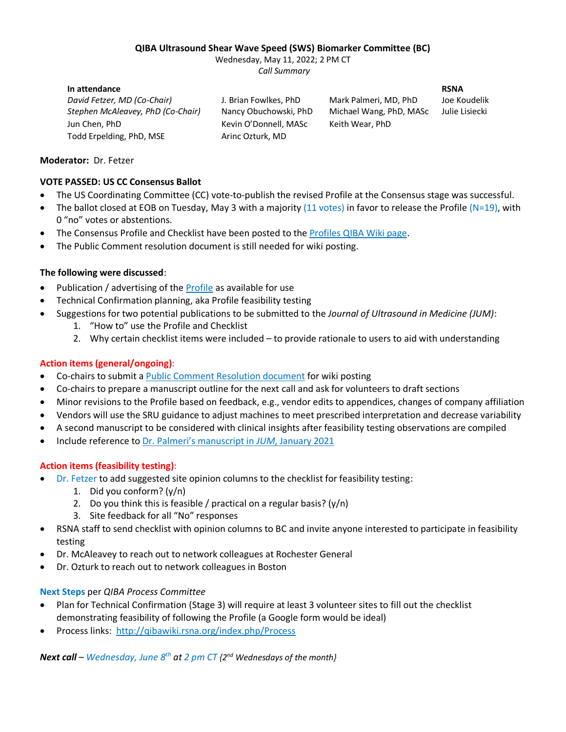#### **QIBA Ultrasound Shear Wave Speed (SWS) Biomarker Committee (BC)**

Wednesday, May 11, 2022; 2 PM CT *Call Summary*

**In attendance RSNA** *David Fetzer, MD (Co-Chair)* J. Brian Fowlkes, PhD Mark Palmeri, MD, PhD Joe Koudelik *Stephen McAleavey, PhD (Co-Chair)* Nancy Obuchowski, PhD Michael Wang, PhD, MASc Julie Lisiecki Jun Chen, PhD Kevin O'Donnell, MASc Keith Wear, PhD Todd Erpelding, PhD, MSE Arinc Ozturk, MD

# **Moderator:** Dr. Fetzer

# **VOTE PASSED: US CC Consensus Ballot**

- The US Coordinating Committee (CC) vote-to-publish the revised Profile at the Consensus stage was successful.
- The ballot closed at EOB on Tuesday, May 3 with a majority (11 votes) in favor to release the Profile (N=19), with 0 "no" votes or abstentions.
- The Consensus Profile and Checklist have been posted to the [Profiles QIBA Wiki page.](https://qibawiki.rsna.org/index.php/Profiles)
- The Public Comment resolution document is still needed for wiki posting.

# **The following were discussed**:

- Publication / advertising of the [Profile](https://qibawiki.rsna.org/images/1/1b/QIBA_US_SWS_Profile_04.25.2022-clean_version.pdf) as available for use
- Technical Confirmation planning, aka Profile feasibility testing
- Suggestions for two potential publications to be submitted to the *Journal of Ultrasound in Medicine (JUM)*:
	- 1. "How to" use the Profile and Checklist
	- 2. Why certain checklist items were included to provide rationale to users to aid with understanding

# **Action items (general/ongoing)**:

- Co-chairs to submit a [Public Comment Resolution document](http://qibawiki.rsna.org/index.php/Comment_Resolutions) for wiki posting
- Co-chairs to prepare a manuscript outline for the next call and ask for volunteers to draft sections
- Minor revisions to the Profile based on feedback, e.g., vendor edits to appendices, changes of company affiliation
- Vendors will use the SRU guidance to adjust machines to meet prescribed interpretation and decrease variability
- A second manuscript to be considered with clinical insights after feasibility testing observations are compiled
- Include reference to [Dr. Palmeri's manuscript in](https://pubmed.ncbi.nlm.nih.gov/33410183/) *JUM*, January 2021

### **Action items (feasibility testing)**:

- Dr. Fetzer to add suggested site opinion columns to the checklist for feasibility testing:
	- 1. Did you conform? (y/n)
	- 2. Do you think this is feasible / practical on a regular basis?  $(y/n)$
	- 3. Site feedback for all "No" responses
- RSNA staff to send checklist with opinion columns to BC and invite anyone interested to participate in feasibility testing
- Dr. McAleavey to reach out to network colleagues at Rochester General
- Dr. Ozturk to reach out to network colleagues in Boston

### **Next Steps** per *QIBA Process Committee*

- Plan for Technical Confirmation (Stage 3) will require at least 3 volunteer sites to fill out the checklist demonstrating feasibility of following the Profile (a Google form would be ideal)
- Process links: <http://qibawiki.rsna.org/index.php/Process>

*Next call – Wednesday, June 8 th at 2 pm CT {2nd Wednesdays of the month}*